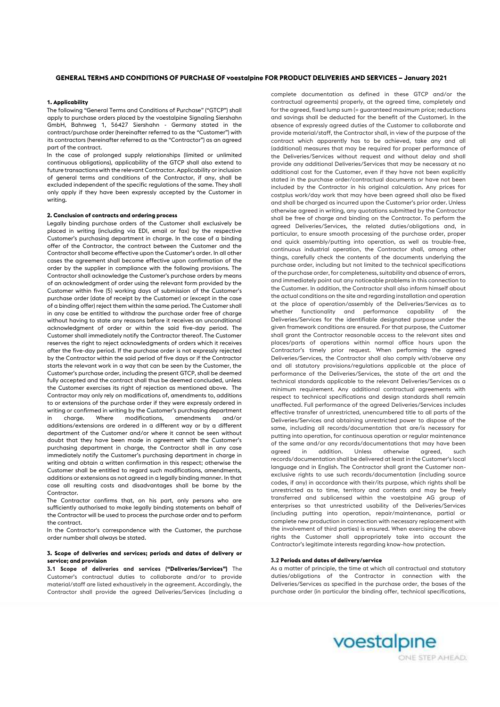## **GENERAL TERMS AND CONDITIONS OF PURCHASE OF voestalpine FOR PRODUCT DELIVERIES AND SERVICES – January 2021**

## **1. Applicability**

The following "General Terms and Conditions of Purchase" ("GTCP") shall apply to purchase orders placed by the voestalpine Signaling Siershahn GmbH, Bahnweg 1, 56427 Siershahn - Germany stated in the contract/purchase order (hereinafter referred to as the "Customer") with its contractors (hereinafter referred to as the "Contractor") as an agreed part of the contract.

In the case of prolonged supply relationships (limited or unlimited continuous obligations), applicability of the GTCP shall also extend to future transactions with the relevant Contractor. Applicability or inclusion of general terms and conditions of the Contractor, if any, shall be excluded independent of the specific regulations of the same. They shall only apply if they have been expressly accepted by the Customer in writing.

### **2. Conclusion of contracts and ordering process**

Legally binding purchase orders of the Customer shall exclusively be placed in writing (including via EDI, email or fax) by the respective Customer's purchasing department in charge. In the case of a binding offer of the Contractor, the contract between the Customer and the Contractor shall become effective upon the Customer's order. In all other cases the agreement shall become effective upon confirmation of the order by the supplier in compliance with the following provisions. The Contractor shall acknowledge the Customer's purchase orders by means of an acknowledgment of order using the relevant form provided by the Customer within five (5) working days of submission of the Customer's purchase order (date of receipt by the Customer) or (except in the case of a binding offer) reject them within the same period. The Customer shall in any case be entitled to withdraw the purchase order free of charge without having to state any reasons before it receives an unconditional acknowledgment of order or within the said five-day period. The Customer shall immediately notify the Contractor thereof. The Customer reserves the right to reject acknowledgments of orders which it receives after the five-day period. If the purchase order is not expressly rejected by the Contractor within the said period of five days or if the Contractor starts the relevant work in a way that can be seen by the Customer, the Customer's purchase order, including the present GTCP, shall be deemed fully accepted and the contract shall thus be deemed concluded, unless the Customer exercises its right of rejection as mentioned above. The Contractor may only rely on modifications of, amendments to, additions to or extensions of the purchase order if they were expressly ordered in writing or confirmed in writing by the Customer's purchasing department in charge. Where modifications, amendments and/or additions/extensions are ordered in a different way or by a different department of the Customer and/or where it cannot be seen without doubt that they have been made in agreement with the Customer's purchasing department in charge, the Contractor shall in any case immediately notify the Customer's purchasing department in charge in writing and obtain a written confirmation in this respect; otherwise the Customer shall be entitled to regard such modifications, amendments, additions or extensions as not agreed in a legally binding manner. In that case all resulting costs and disadvantages shall be borne by the Contractor.

The Contractor confirms that, on his part, only persons who are sufficiently authorised to make legally binding statements on behalf of the Contractor will be used to process the purchase order and to perform the contract.

In the Contractor's correspondence with the Customer, the purchase order number shall always be stated.

### **3. Scope of deliveries and services; periods and dates of delivery or service; and provision**

**3.1 Scope of deliveries and services ("Deliveries/Services")** The Customer's contractual duties to collaborate and/or to provide material/staff are listed exhaustively in the agreement. Accordingly, the Contractor shall provide the agreed Deliveries/Services (including a complete documentation as defined in these GTCP and/or the contractual agreements) properly, at the agreed time, completely and for the agreed, fixed lump sum (= guaranteed maximum price; reductions and savings shall be deducted for the benefit of the Customer). In the absence of expressly agreed duties of the Customer to collaborate and provide material/staff, the Contractor shall, in view of the purpose of the contract which apparently has to be achieved, take any and all (additional) measures that may be required for proper performance of the Deliveries/Services without request and without delay and shall provide any additional Deliveries/Services that may be necessary at no additional cost for the Customer, even if they have not been explicitly stated in the purchase order/contractual documents or have not been included by the Contractor in his original calculation. Any prices for costplus work/day work that may have been agreed shall also be fixed and shall be charged as incurred upon the Customer's prior order. Unless otherwise agreed in writing, any quotations submitted by the Contractor shall be free of charge and binding on the Contractor. To perform the agreed Deliveries/Services, the related duties/obligations and, in particular, to ensure smooth processing of the purchase order, proper and quick assembly/putting into operation, as well as trouble-free, continuous industrial operation, the Contractor shall, among other things, carefully check the contents of the documents underlying the purchase order, including but not limited to the technical specifications of the purchase order, for completeness, suitability and absence of errors, and immediately point out any noticeable problems in this connection to the Customer. In addition, the Contractor shall also inform himself about the actual conditions on the site and regarding installation and operation at the place of operation/assembly of the Deliveries/Services as to whether functionality and performance capability of the Deliveries/Services for the identifiable designated purpose under the given framework conditions are ensured. For that purpose, the Customer shall grant the Contractor reasonable access to the relevant sites and places/parts of operations within normal office hours upon the Contractor's timely prior request. When performing the agreed Deliveries/Services, the Contractor shall also comply with/observe any and all statutory provisions/regulations applicable at the place of performance of the Deliveries/Services, the state of the art and the technical standards applicable to the relevant Deliveries/Services as a minimum requirement. Any additional contractual agreements with respect to technical specifications and design standards shall remain unaffected. Full performance of the agreed Deliveries/Services includes effective transfer of unrestricted, unencumbered title to all parts of the Deliveries/Services and obtaining unrestricted power to dispose of the same, including all records/documentation that are/is necessary for putting into operation, for continuous operation or regular maintenance of the same and/or any records/documentations that may have been agreed in addition. Unless otherwise agreed, such records/documentation shall be delivered at least in the Customer's local language and in English. The Contractor shall grant the Customer nonexclusive rights to use such records/documentation (including source codes, if any) in accordance with their/its purpose, which rights shall be unrestricted as to time, territory and contents and may be freely transferred and sublicensed within the voestalpine AG group of enterprises so that unrestricted usability of the Deliveries/Services (including putting into operation, repair/maintenance, partial or complete new production in connection with necessary replacement with the involvement of third parties) is ensured. When exercising the above rights the Customer shall appropriately take into account the Contractor's legitimate interests regarding know-how protection.

#### **3.2 Periods and dates of delivery/service**

As a matter of principle, the time at which all contractual and statutory duties/obligations of the Contractor in connection with the Deliveries/Services as specified in the purchase order, the bases of the purchase order (in particular the binding offer, technical specifications,



ONE STEP AHEAD.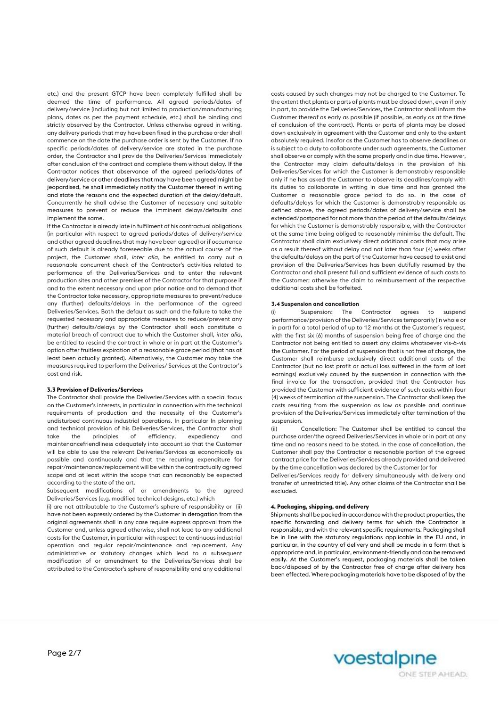etc.) and the present GTCP have been completely fulfilled shall be deemed the time of performance. All agreed periods/dates of delivery/service (including but not limited to production/manufacturing plans, dates as per the payment schedule, etc.) shall be binding and strictly observed by the Contractor. Unless otherwise agreed in writing, any delivery periods that may have been fixed in the purchase order shall commence on the date the purchase order is sent by the Customer. If no specific periods/dates of delivery/service are stated in the purchase order, the Contractor shall provide the Deliveries/Services immediately after conclusion of the contract and complete them without delay. If the Contractor notices that observance of the agreed periods/dates of delivery/service or other deadlines that may have been agreed might be jeopardised, he shall immediately notify the Customer thereof in writing and state the reasons and the expected duration of the delay/default. Concurrently he shall advise the Customer of necessary and suitable measures to prevent or reduce the imminent delays/defaults and implement the same.

If the Contractor is already late in fulfilment of his contractual obligations (in particular with respect to agreed periods/dates of delivery/service and other agreed deadlines that may have been agreed) or if occurrence of such default is already foreseeable due to the actual course of the project, the Customer shall, *inter alia*, be entitled to carry out a reasonable concurrent check of the Contractor's activities related to performance of the Deliveries/Services and to enter the relevant production sites and other premises of the Contractor for that purpose if and to the extent necessary and upon prior notice and to demand that the Contractor take necessary, appropriate measures to prevent/reduce any (further) defaults/delays in the performance of the agreed Deliveries/Services. Both the default as such and the failure to take the requested necessary and appropriate measures to reduce/prevent any (further) defaults/delays by the Contractor shall each constitute a material breach of contract due to which the Customer shall, *inter alia*, be entitled to rescind the contract in whole or in part at the Customer's option after fruitless expiration of a reasonable grace period (that has at least been actually granted). Alternatively, the Customer may take the measures required to perform the Deliveries/ Services at the Contractor's cost and risk.

## **3.3 Provision of Deliveries/Services**

The Contractor shall provide the Deliveries/Services with a special focus on the Customer's interests, in particular in connection with the technical requirements of production and the necessity of the Customer's undisturbed continuous industrial operations. In particular In planning and technical provision of his Deliveries/Services, the Contractor shall take the principles of efficiency, expediency and maintenancefriendliness adequately into account so that the Customer will be able to use the relevant Deliveries/Services as economically as possible and continuously and that the recurring expenditure for repair/maintenance/replacement will be within the contractually agreed scope and at least within the scope that can reasonably be expected according to the state of the art.

Subsequent modifications of or amendments to the agreed Deliveries/Services (e.g. modified technical designs, etc.) which

(i) are not attributable to the Customer's sphere of responsibility or (ii) have not been expressly ordered by the Customer in derogation from the original agreements shall in any case require express approval from the Customer and, unless agreed otherwise, shall not lead to any additional costs for the Customer, in particular with respect to continuous industrial operation and regular repair/maintenance and replacement. Any administrative or statutory changes which lead to a subsequent modification of or amendment to the Deliveries/Services shall be attributed to the Contractor's sphere of responsibility and any additional

costs caused by such changes may not be charged to the Customer. To the extent that plants or parts of plants must be closed down, even if only in part, to provide the Deliveries/Services, the Contractor shall inform the Customer thereof as early as possible (if possible, as early as at the time of conclusion of the contract). Plants or parts of plants may be closed down exclusively in agreement with the Customer and only to the extent absolutely required. Insofar as the Customer has to observe deadlines or is subject to a duty to collaborate under such agreements, the Customer shall observe or comply with the same properly and in due time. However, the Contractor may claim defaults/delays in the provision of his Deliveries/Services for which the Customer is demonstrably responsible only if he has asked the Customer to observe its deadlines/comply with its duties to collaborate in writing in due time and has granted the Customer a reasonable grace period to do so. In the case of defaults/delays for which the Customer is demonstrably responsible as defined above, the agreed periods/dates of delivery/service shall be extended/postponed for not more than the period of the defaults/delays for which the Customer is demonstrably responsible, with the Contractor at the same time being obliged to reasonably minimise the default. The Contractor shall claim exclusively direct additional costs that may arise as a result thereof without delay and not later than four (4) weeks after the defaults/delays on the part of the Customer have ceased to exist and provision of the Deliveries/Services has been dutifully resumed by the Contractor and shall present full and sufficient evidence of such costs to the Customer; otherwise the claim to reimbursement of the respective additional costs shall be forfeited.

### **3.4 Suspension and cancellation**

(i) Suspension: The Contractor agrees to suspend performance/provision of the Deliveries/Services temporarily (in whole or in part) for a total period of up to 12 months at the Customer's request, with the first six (6) months of suspension being free of charge and the Contractor not being entitled to assert any claims whatsoever vis-à-vis the Customer. For the period of suspension that is not free of charge, the Customer shall reimburse exclusively direct additional costs of the Contractor (but no lost profit or actual loss suffered in the form of lost earnings) exclusively caused by the suspension in connection with the final invoice for the transaction, provided that the Contractor has provided the Customer with sufficient evidence of such costs within four (4) weeks of termination of the suspension. The Contractor shall keep the costs resulting from the suspension as low as possible and continue provision of the Deliveries/Services immediately after termination of the suspension.

(ii) Cancellation: The Customer shall be entitled to cancel the purchase order/the agreed Deliveries/Services in whole or in part at any time and no reasons need to be stated. In the case of cancellation, the Customer shall pay the Contractor a reasonable portion of the agreed contract price for the Deliveries/Services already provided and delivered by the time cancellation was declared by the Customer (or for

Deliveries/Services ready for delivery simultaneously with delivery and transfer of unrestricted title). Any other claims of the Contractor shall be excluded.

#### **4. Packaging, shipping, and delivery**

Shipments shall be packed in accordance with the product properties, the specific forwarding and delivery terms for which the Contractor is responsible, and with the relevant specific requirements. Packaging shall be in line with the statutory regulations applicable in the EU and, in particular, in the country of delivery and shall be made in a form that is appropriate and, in particular, environment-friendly and can be removed easily. At the Customer's request, packaging materials shall be taken back/disposed of by the Contractor free of charge after delivery has been effected. Where packaging materials have to be disposed of by the

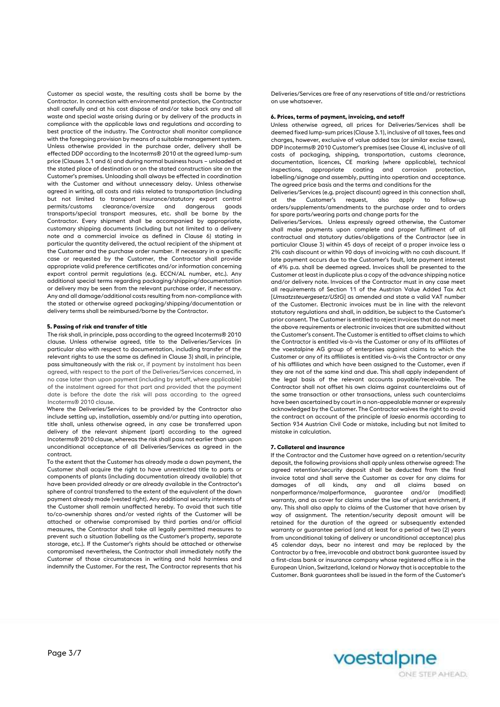Customer as special waste, the resulting costs shall be borne by the Contractor. In connection with environmental protection, the Contractor shall carefully and at his cost dispose of and/or take back any and all waste and special waste arising during or by delivery of the products in compliance with the applicable laws and regulations and according to best practice of the industry. The Contractor shall monitor compliance with the foregoing provision by means of a suitable management system. Unless otherwise provided in the purchase order, delivery shall be effected DDP according to the Incoterms® 2010 at the agreed lump-sum price (Clauses 3.1 and 6) and during normal business hours – unloaded at the stated place of destination or on the stated construction site on the Customer's premises. Unloading shall always be effected in coordination with the Customer and without unnecessary delay. Unless otherwise agreed in writing, all costs and risks related to transportation (including but not limited to transport insurance/statutory export control permits/customs clearance/oversize and dangerous goods transports/special transport measures, etc. shall be borne by the Contractor. Every shipment shall be accompanied by appropriate, customary shipping documents (including but not limited to a delivery note and a commercial invoice as defined in Clause 6) stating in particular the quantity delivered, the actual recipient of the shipment at the Customer and the purchase order number. If necessary in a specific case or requested by the Customer, the Contractor shall provide appropriate valid preference certificates and/or information concerning export control permit regulations (e.g. ECCN/AL number, etc.). Any additional special terms regarding packaging/shipping/documentation or delivery may be seen from the relevant purchase order, if necessary. Any and all damage/additional costs resulting from non-compliance with the stated or otherwise agreed packaging/shipping/documentation or delivery terms shall be reimbursed/borne by the Contractor.

## **5. Passing of risk and transfer of title**

The risk shall, in principle, pass according to the agreed Incoterms® 2010 clause. Unless otherwise agreed, title to the Deliveries/Services (in particular also with respect to documentation, including transfer of the relevant rights to use the same as defined in Clause 3) shall, in principle, pass simultaneously with the risk or, if payment by instalment has been agreed, with respect to the part of the Deliveries/Services concerned, in no case later than upon payment (including by setoff, where applicable) of the instalment agreed for that part and provided that the payment date is before the date the risk will pass according to the agreed Incoterms® 2010 clause.

Where the Deliveries/Services to be provided by the Contractor also include setting up, installation, assembly and/or putting into operation, title shall, unless otherwise agreed, in any case be transferred upon delivery of the relevant shipment (part) according to the agreed Incoterms® 2010 clause, whereas the risk shall pass not earlier than upon unconditional acceptance of all Deliveries/Services as agreed in the contract.

To the extent that the Customer has already made a down payment, the Customer shall acquire the right to have unrestricted title to parts or components of plants (including documentation already available) that have been provided already or are already available in the Contractor's sphere of control transferred to the extent of the equivalent of the down payment already made (vested right). Any additional security interests of the Customer shall remain unaffected hereby. To avoid that such title to/co-ownership shares and/or vested rights of the Customer will be attached or otherwise compromised by third parties and/or official measures, the Contractor shall take all legally permitted measures to prevent such a situation (labelling as the Customer's property, separate storage, etc.). If the Customer's rights should be attached or otherwise compromised nevertheless, the Contractor shall immediately notify the Customer of those circumstances in writing and hold harmless and indemnify the Customer. For the rest, The Contractor represents that his

Deliveries/Services are free of any reservations of title and/or restrictions on use whatsoever.

#### **6. Prices, terms of payment, invoicing, and setoff**

Unless otherwise agreed, all prices for Deliveries/Services shall be deemed fixed lump-sum prices (Clause 3.1), inclusive of all taxes, fees and charges, however, exclusive of value added tax (or similar excise taxes), DDP Incoterms® 2010 Customer's premises (see Clause 4), inclusive of all costs of packaging, shipping, transportation, customs clearance, documentation, licences, CE marking (where applicable), technical inspections, appropriate coating and corrosion protection, labelling/signage and assembly, putting into operation and acceptance. The agreed price basis and the terms and conditions for the

Deliveries/Services (e.g. project discount) agreed in this connection shall, at the Customer's request, also apply to follow-up orders/supplements/amendments to the purchase order and to orders for spare parts/wearing parts and change parts for the

Deliveries/Services. Unless expressly agreed otherwise, the Customer shall make payments upon complete and proper fulfilment of all contractual and statutory duties/obligations of the Contractor (see in particular Clause 3) within 45 days of receipt of a proper invoice less a 2% cash discount or within 90 days of invoicing with no cash discount. If late payment occurs due to the Customer's fault, late payment interest of 4% p.a. shall be deemed agreed. Invoices shall be presented to the Customer at least in duplicate plus a copy of the advance shipping notice and/or delivery note. Invoices of the Contractor must in any case meet all requirements of Section 11 of the Austrian Value Added Tax Act [*Umsatzsteuergesetz/UStG*] as amended and state a valid VAT number of the Customer. Electronic invoices must be in line with the relevant statutory regulations and shall, in addition, be subject to the Customer's prior consent. The Customer is entitled to reject invoices that do not meet the above requirements or electronic invoices that are submitted without the Customer's consent. The Customer is entitled to offset claims to which the Contractor is entitled vis-à-vis the Customer or any of its affiliates of the voestalpine AG group of enterprises against claims to which the Customer or any of its affiliates is entitled vis-à-vis the Contractor or any of his affiliates and which have been assigned to the Customer, even if they are not of the same kind and due. This shall apply independent of the legal basis of the relevant accounts payable/receivable. The Contractor shall not offset his own claims against counterclaims out of the same transaction or other transactions, unless such counterclaims have been ascertained by court in a non-appealable manner or expressly acknowledged by the Customer. The Contractor waives the right to avoid the contract on account of the principle of *laesio enormis* according to Section 934 Austrian Civil Code or mistake, including but not limited to mistake in calculation.

### **7. Collateral and insurance**

If the Contractor and the Customer have agreed on a retention/security deposit, the following provisions shall apply unless otherwise agreed: The agreed retention/security deposit shall be deducted from the final invoice total and shall serve the Customer as cover for any claims for damages of all kinds, any and all claims based on nonperformance/malperformance, guarantee and/or (modified) warranty, and as cover for claims under the law of unjust enrichment, if any. This shall also apply to claims of the Customer that have arisen by way of assignment. The retention/security deposit amount will be retained for the duration of the agreed or subsequently extended warranty or guarantee period (and at least for a period of two (2) years from unconditional taking of delivery or unconditional acceptance) plus 45 calendar days, bear no interest and may be replaced by the Contractor by a free, irrevocable and abstract bank guarantee issued by a first-class bank or insurance company whose registered office is in the European Union, Switzerland, Iceland or Norway that is acceptable to the Customer. Bank guarantees shall be issued in the form of the Customer's

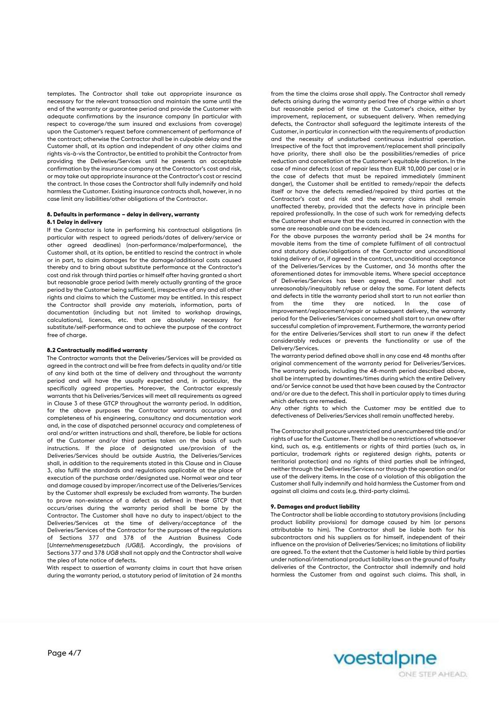templates. The Contractor shall take out appropriate insurance as necessary for the relevant transaction and maintain the same until the end of the warranty or guarantee period and provide the Customer with adequate confirmations by the insurance company (in particular with respect to coverage/the sum insured and exclusions from coverage) upon the Customer's request before commencement of performance of the contract; otherwise the Contractor shall be in culpable delay and the Customer shall, at its option and independent of any other claims and rights vis-à-vis the Contractor, be entitled to prohibit the Contractor from providing the Deliveries/Services until he presents an acceptable confirmation by the insurance company at the Contractor's cost and risk, or may take out appropriate insurance at the Contractor's cost or rescind the contract. In those cases the Contractor shall fully indemnify and hold harmless the Customer. Existing insurance contracts shall, however, in no case limit any liabilities/other obligations of the Contractor.

### **8. Defaults in performance – delay in delivery, warranty 8.1 Delay in delivery**

If the Contractor is late in performing his contractual obligations (in particular with respect to agreed periods/dates of delivery/service or other agreed deadlines) (non-performance/malperformance), the Customer shall, at its option, be entitled to rescind the contract in whole or in part, to claim damages for the damage/additional costs caused thereby and to bring about substitute performance at the Contractor's cost and risk through third parties or himself after having granted a short but reasonable grace period (with merely actually granting of the grace period by the Customer being sufficient), irrespective of any and all other rights and claims to which the Customer may be entitled. In this respect the Contractor shall provide any materials, information, parts of documentation (including but not limited to workshop drawings, calculations), licences, etc. that are absolutely necessary for substitute/self-performance and to achieve the purpose of the contract free of charge.

## **8.2 Contractually modified warranty**

The Contractor warrants that the Deliveries/Services will be provided as agreed in the contract and will be free from defects in quality and/or title of any kind both at the time of delivery and throughout the warranty period and will have the usually expected and, in particular, the specifically agreed properties. Moreover, the Contractor expressly warrants that his Deliveries/Services will meet all requirements as agreed in Clause 3 of these GTCP throughout the warranty period. In addition, for the above purposes the Contractor warrants accuracy and completeness of his engineering, consultancy and documentation work and, in the case of dispatched personnel accuracy and completeness of oral and/or written instructions and shall, therefore, be liable for actions of the Customer and/or third parties taken on the basis of such instructions. If the place of designated use/provision of the Deliveries/Services should be outside Austria, the Deliveries/Services shall, in addition to the requirements stated in this Clause and in Clause 3, also fulfil the standards and regulations applicable at the place of execution of the purchase order/designated use. Normal wear and tear and damage caused by improper/incorrect use of the Deliveries/Services by the Customer shall expressly be excluded from warranty. The burden to prove non-existence of a defect as defined in these GTCP that occurs/arises during the warranty period shall be borne by the Contractor. The Customer shall have no duty to inspect/object to the Deliveries/Services at the time of delivery/acceptance of the Deliveries/Services of the Contractor for the purposes of the regulations of Sections 377 and 378 of the Austrian Business Code [*Unternehmensgesetzbuch (UGB)*]. Accordingly, the provisions of Sections 377 and 378 *UGB* shall not apply and the Contractor shall waive the plea of late notice of defects.

With respect to assertion of warranty claims in court that have arisen during the warranty period, a statutory period of limitation of 24 months

from the time the claims arose shall apply. The Contractor shall remedy defects arising during the warranty period free of charge within a short but reasonable period of time at the Customer's choice, either by improvement, replacement, or subsequent delivery. When remedying defects, the Contractor shall safeguard the legitimate interests of the Customer, in particular in connection with the requirements of production and the necessity of undisturbed continuous industrial operation. Irrespective of the fact that improvement/replacement shall principally have priority, there shall also be the possibilities/remedies of price reduction and cancellation at the Customer's equitable discretion. In the case of minor defects (cost of repair less than EUR 10,000 per case) or in the case of defects that must be repaired immediately (imminent danger), the Customer shall be entitled to remedy/repair the defects itself or have the defects remedied/repaired by third parties at the Contractor's cost and risk and the warranty claims shall remain unaffected thereby, provided that the defects have in principle been repaired professionally. In the case of such work for remedying defects the Customer shall ensure that the costs incurred in connection with the same are reasonable and can be evidenced.

For the above purposes the warranty period shall be 24 months for movable items from the time of complete fulfilment of all contractual and statutory duties/obligations of the Contractor and unconditional taking delivery of or, if agreed in the contract, unconditional acceptance of the Deliveries/Services by the Customer, and 36 months after the aforementioned dates for immovable items. Where special acceptance of Deliveries/Services has been agreed, the Customer shall not unreasonably/inequitably refuse or delay the same. For latent defects and defects in title the warranty period shall start to run not earlier than from the time they are noticed. In the case of improvement/replacement/repair or subsequent delivery, the warranty period for the Deliveries/Services concerned shall start to run anew after successful completion of improvement. Furthermore, the warranty period for the entire Deliveries/Services shall start to run anew if the defect considerably reduces or prevents the functionality or use of the Delivery/Services.

The warranty period defined above shall in any case end 48 months after original commencement of the warranty period for Deliveries/Services. The warranty periods, including the 48-month period described above, shall be interrupted by downtimes/times during which the entire Delivery and/or Service cannot be used that have been caused by the Contractor and/or are due to the defect. This shall in particular apply to times during which defects are remedied.

Any other rights to which the Customer may be entitled due to defectiveness of Deliveries/Services shall remain unaffected hereby.

The Contractor shall procure unrestricted and unencumbered title and/or rights of use for the Customer. There shall be no restrictions of whatsoever kind, such as, e.g. entitlements or rights of third parties (such as, in particular, trademark rights or registered design rights, patents or territorial protection) and no rights of third parties shall be infringed, neither through the Deliveries/Services nor through the operation and/or use of the delivery items. In the case of a violation of this obligation the Customer shall fully indemnify and hold harmless the Customer from and against all claims and costs (e.g. third-party claims).

### **9. Damages and product liability**

The Contractor shall be liable according to statutory provisions (including product liability provisions) for damage caused by him (or persons attributable to him). The Contractor shall be liable both for his subcontractors and his suppliers as for himself, independent of their influence on the provision of Deliveries/Services; no limitations of liability are agreed. To the extent that the Customer is held liable by third parties under national/international product liability laws on the ground of faulty deliveries of the Contractor, the Contractor shall indemnify and hold harmless the Customer from and against such claims. This shall, in

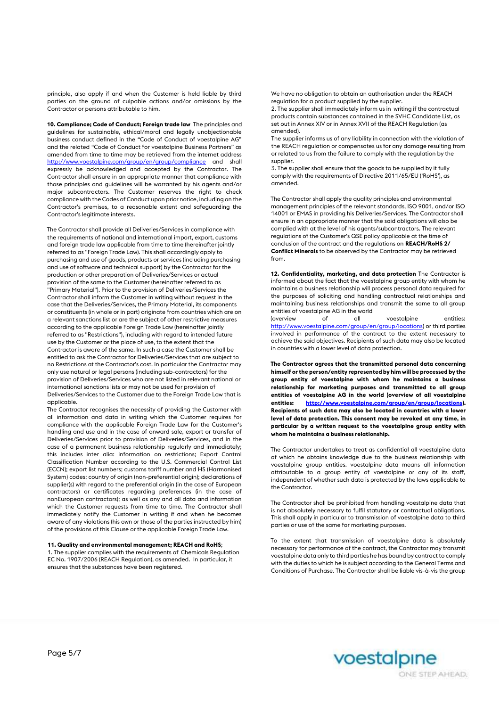principle, also apply if and when the Customer is held liable by third parties on the ground of culpable actions and/or omissions by the Contractor or persons attributable to him.

**10. Compliance; Code of Conduct; Foreign trade law** The principles and guidelines for sustainable, ethical/moral and legally unobjectionable business conduct defined in the "Code of Conduct of voestalpine AG" and the related "Code of Conduct for voestalpine Business Partners" as amended from time to time may be retrieved from the internet address <http://www.voestalpine.com/group/en/group/compliance> and shall expressly be acknowledged and accepted by the Contractor. The Contractor shall ensure in an appropriate manner that compliance with those principles and guidelines will be warranted by his agents and/or major subcontractors. The Customer reserves the right to check compliance with the Codes of Conduct upon prior notice, including on the Contractor's premises, to a reasonable extent and safeguarding the Contractor's legitimate interests.

The Contractor shall provide all Deliveries/Services in compliance with the requirements of national and international import, export, customs and foreign trade law applicable from time to time (hereinafter jointly referred to as "Foreign Trade Law). This shall accordingly apply to purchasing and use of goods, products or services (including purchasing and use of software and technical support) by the Contractor for the production or other preparation of Deliveries/Services or actual provision of the same to the Customer (hereinafter referred to as "Primary Material"). Prior to the provision of Deliveries/Services the Contractor shall inform the Customer in writing without request in the case that the Deliveries/Services, the Primary Material, its components or constituents (in whole or in part) originate from countries which are on a relevant sanctions list or are the subject of other restrictive measures according to the applicable Foreign Trade Law (hereinafter jointly referred to as "Restrictions"), including with regard to intended future use by the Customer or the place of use, to the extent that the Contractor is aware of the same. In such a case the Customer shall be entitled to ask the Contractor for Deliveries/Services that are subject to no Restrictions at the Contractor's cost. In particular the Contractor may only use natural or legal persons (including sub-contractors) for the provision of Deliveries/Services who are not listed in relevant national or international sanctions lists or may not be used for provision of Deliveries/Services to the Customer due to the Foreign Trade Law that is applicable.

The Contractor recognises the necessity of providing the Customer with all information and data in writing which the Customer requires for compliance with the applicable Foreign Trade Law for the Customer's handling and use and in the case of onward sale, export or transfer of Deliveries/Services prior to provision of Deliveries/Services, and in the case of a permanent business relationship regularly and immediately; this includes inter alia: information on restrictions; Export Control Classification Number according to the U.S. Commercial Control List (ECCN); export list numbers; customs tariff number and HS (Harmonised System) codes; country of origin (non-preferential origin); declarations of supplier(s) with regard to the preferential origin (in the case of European contractors) or certificates regarding preferences (in the case of nonEuropean contractors); as well as any and all data and information which the Customer requests from time to time. The Contractor shall immediately notify the Customer in writing if and when he becomes aware of any violations (his own or those of the parties instructed by him) of the provisions of this Clause or the applicable Foreign Trade Law.

### **11. Quality and environmental management; REACH and RoHS**;

1. The supplier complies with the requirements of Chemicals Regulation EC No. 1907/2006 (REACH Regulation), as amended. In particular, it ensures that the substances have been registered.

We have no obligation to obtain an authorisation under the REACH regulation for a product supplied by the supplier.

2. The supplier shall immediately inform us in writing if the contractual products contain substances contained in the SVHC Candidate List, as set out in Annex XIV or in Annex XVII of the REACH Regulation (as amended).

The supplier informs us of any liability in connection with the violation of the REACH regulation or compensates us for any damage resulting from or related to us from the failure to comply with the regulation by the supplier.

3. The supplier shall ensure that the goods to be supplied by it fully comply with the requirements of Directive 2011/65/EU ('RoHS'), as amended.

The Contractor shall apply the quality principles and environmental management principles of the relevant standards, ISO 9001, and/or ISO 14001 or EMAS in providing his Deliveries/Services. The Contractor shall ensure in an appropriate manner that the said obligations will also be complied with at the level of his agents/subcontractors. The relevant regulations of the Customer's QSE policy applicable at the time of conclusion of the contract and the regulations on **REACH/RoHS 2/ Conflict Minerals** to be observed by the Contractor may be retrieved from.

**12. Confidentiality, marketing, and data protection** The Contractor is informed about the fact that the voestalpine group entity with whom he maintains a business relationship will process personal data required for the purposes of soliciting and handling contractual relationships and maintaining business relationships and transmit the same to all group entities of voestalpine AG in the world<br>(overview of all

(overview of all voestalpine entities: [http://www.voestalpine.com/group/en/group/locations\) o](http://www.voestalpine.com/group/en/group/locations)r third parties involved in performance of the contract to the extent necessary to achieve the said objectives. Recipients of such data may also be located in countries with a lower level of data protection.

**The Contractor agrees that the transmitted personal data concerning himself or the person/entity represented by him will be processed by the group entity of voestalpine with whom he maintains a business relationship for marketing purposes and transmitted to all group entities of voestalpine AG in the world (overview of all voestalpine entities: [http://www.voestalpine.com/group/en/group/locations\).](http://www.voestalpine.com/group/en/group/locations) Recipients of such data may also be located in countries with a lower level of data protection. This consent may be revoked at any time, in particular by a written request to the voestalpine group entity with whom he maintains a business relationship.** 

The Contractor undertakes to treat as confidential all voestalpine data of which he obtains knowledge due to the business relationship with voestalpine group entities. voestalpine data means all information attributable to a group entity of voestalpine or any of its staff, independent of whether such data is protected by the laws applicable to the Contractor.

The Contractor shall be prohibited from handling voestalpine data that is not absolutely necessary to fulfil statutory or contractual obligations. This shall apply in particular to transmission of voestalpine data to third parties or use of the same for marketing purposes.

To the extent that transmission of voestalpine data is absolutely necessary for performance of the contract, the Contractor may transmit voestalpine data only to third parties he has bound by contract to comply with the duties to which he is subject according to the General Terms and Conditions of Purchase. The Contractor shall be liable vis-à-vis the group

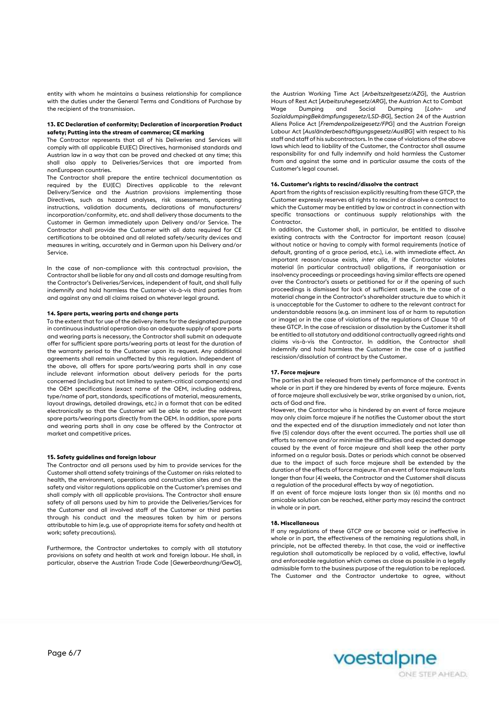entity with whom he maintains a business relationship for compliance with the duties under the General Terms and Conditions of Purchase by the recipient of the transmission.

### **13. EC Declaration of conformity; Declaration of incorporation Product safety; Putting into the stream of commerce; CE marking**

The Contractor represents that all of his Deliveries and Services will comply with all applicable EU(EC) Directives, harmonised standards and Austrian law in a way that can be proved and checked at any time; this shall also apply to Deliveries/Services that are imported from nonEuropean countries.

The Contractor shall prepare the entire technical documentation as required by the EU(EC) Directives applicable to the relevant Delivery/Service and the Austrian provisions implementing those Directives, such as hazard analyses, risk assessments, operating instructions, validation documents, declarations of manufacturers/ incorporation/conformity, etc. and shall delivery those documents to the Customer in German immediately upon Delivery and/or Service. The Contractor shall provide the Customer with all data required for CE certifications to be obtained and all related safety/security devices and measures in writing, accurately and in German upon his Delivery and/or Service.

In the case of non-compliance with this contractual provision, the Contractor shall be liable for any and all costs and damage resulting from the Contractor's Deliveries/Services, independent of fault, and shall fully indemnify and hold harmless the Customer vis-à-vis third parties from and against any and all claims raised on whatever legal ground.

### **14. Spare parts, wearing parts and change parts**

To the extent that for use of the delivery items for the designated purpose in continuous industrial operation also an adequate supply of spare parts and wearing parts is necessary, the Contractor shall submit an adequate offer for sufficient spare parts/wearing parts at least for the duration of the warranty period to the Customer upon its request. Any additional agreements shall remain unaffected by this regulation. Independent of the above, all offers for spare parts/wearing parts shall in any case include relevant information about delivery periods for the parts concerned (including but not limited to system-critical components) and the OEM specifications (exact name of the OEM, including address, type/name of part, standards, specifications of material, measurements, layout drawings, detailed drawings, etc.) in a format that can be edited electronically so that the Customer will be able to order the relevant spare parts/wearing parts directly from the OEM. In addition, spare parts and wearing parts shall in any case be offered by the Contractor at market and competitive prices.

# **15. Safety guidelines and foreign labour**

The Contractor and all persons used by him to provide services for the Customer shall attend safety trainings of the Customer on risks related to health, the environment, operations and construction sites and on the safety and visitor regulations applicable on the Customer's premises and shall comply with all applicable provisions. The Contractor shall ensure safety of all persons used by him to provide the Deliveries/Services for the Customer and all involved staff of the Customer or third parties through his conduct and the measures taken by him or persons attributable to him (e.g. use of appropriate items for safety and health at work; safety precautions).

Furthermore, the Contractor undertakes to comply with all statutory provisions on safety and health at work and foreign labour. He shall, in particular, observe the Austrian Trade Code [*Gewerbeordnung/GewO*],

the Austrian Working Time Act [*Arbeitszeitgesetz/AZG*], the Austrian Hours of Rest Act [*Arbeitsruhegesetz/ARG*], the Austrian Act to Combat Wage Dumping and Social Dumping [*Lohn- und SozialdumpingBekämpfungsgesetz/LSD-BG*], Section 24 of the Austrian Aliens Police Act [*Fremdenpolizeigesetz/FPG*] and the Austrian Foreign Labour Act [*Ausländerbeschäftigungsgesetz/AuslBG*] with respect to his staff and staff of his subcontractors. In the case of violations of the above laws which lead to liability of the Customer, the Contractor shall assume responsibility for and fully indemnify and hold harmless the Customer from and against the same and in particular assume the costs of the Customer's legal counsel.

#### **16. Customer's rights to rescind/dissolve the contract**

Apart from the rights of rescission explicitly resulting from these GTCP, the Customer expressly reserves all rights to rescind or dissolve a contract to which the Customer may be entitled by law or contract in connection with specific transactions or continuous supply relationships with the Contractor.

In addition, the Customer shall, in particular, be entitled to dissolve existing contracts with the Contractor for important reason (cause) without notice or having to comply with formal requirements (notice of default, granting of a grace period, etc.), i.e. with immediate effect. An important reason/cause exists, *inter alia*, if the Contractor violates material (in particular contractual) obligations, if reorganisation or insolvency proceedings or proceedings having similar effects are opened over the Contractor's assets or petitioned for or if the opening of such proceedings is dismissed for lack of sufficient assets, in the case of a material change in the Contractor's shareholder structure due to which it is unacceptable for the Customer to adhere to the relevant contract for understandable reasons (e.g. an imminent loss of or harm to reputation or image) or in the case of violations of the regulations of Clause 10 of these GTCP. In the case of rescission or dissolution by the Customer it shall be entitled to all statutory and additional contractually agreed rights and claims vis-à-vis the Contractor. In addition, the Contractor shall indemnify and hold harmless the Customer in the case of a justified rescission/dissolution of contract by the Customer.

### **17. Force majeure**

The parties shall be released from timely performance of the contract in whole or in part if they are hindered by events of force majeure. Events of force majeure shall exclusively be war, strike organised by a union, riot, acts of God and fire.

However, the Contractor who is hindered by an event of force majeure may only claim force majeure if he notifies the Customer about the start and the expected end of the disruption immediately and not later than five (5) calendar days after the event occurred. The parties shall use all efforts to remove and/or minimise the difficulties and expected damage caused by the event of force majeure and shall keep the other party informed on a regular basis. Dates or periods which cannot be observed due to the impact of such force majeure shall be extended by the duration of the effects of force majeure. If an event of force majeure lasts longer than four (4) weeks, the Contractor and the Customer shall discuss a regulation of the procedural effects by way of negotiation.

If an event of force majeure lasts longer than six (6) months and no amicable solution can be reached, either party may rescind the contract in whole or in part.

### **18. Miscellaneous**

If any regulations of these GTCP are or become void or ineffective in whole or in part, the effectiveness of the remaining regulations shall, in principle, not be affected thereby. In that case, the void or ineffective regulation shall automatically be replaced by a valid, effective, lawful and enforceable regulation which comes as close as possible in a legally admissible form to the business purpose of the regulation to be replaced. The Customer and the Contractor undertake to agree, without